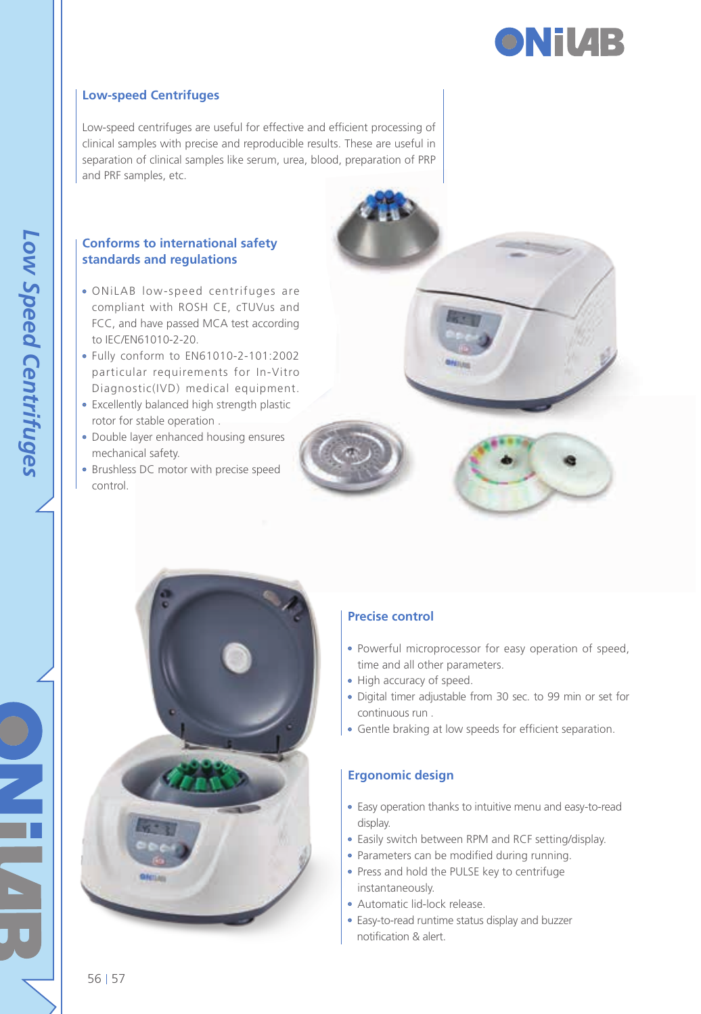

#### **Low-speed Centrifuges**

Low-speed centrifuges are useful for effective and efficient processing of clinical samples with precise and reproducible results. These are useful in separation of clinical samples like serum, urea, blood, preparation of PRP and PRF samples, etc.

#### **Conforms to international safety standards and regulations**

- ONiLAB low-speed centrifuges are compliant with ROSH CE, cTUVus and FCC, and have passed MCA test according to IEC/EN61010-2-20.
- Fully conform to EN61010-2-101:2002 particular requirements for In-Vitro Diagnostic(IVD) medical equipment.
- Excellently balanced high strength plastic rotor for stable operation .
- Double layer enhanced housing ensures mechanical safety.
- Brushless DC motor with precise speed control.







#### **Precise control**

- Powerful microprocessor for easy operation of speed, time and all other parameters.
- High accuracy of speed.
- Digital timer adjustable from 30 sec. to 99 min or set for continuous run .
- Gentle braking at low speeds for efficient separation.

#### **Ergonomic design**

- Easy operation thanks to intuitive menu and easy-to-read display.
- Easily switch between RPM and RCF setting/display.
- Parameters can be modified during running.
- Press and hold the PULSE key to centrifuge instantaneously.
- Automatic lid-lock release.
- Easy-to-read runtime status display and buzzer notification & alert.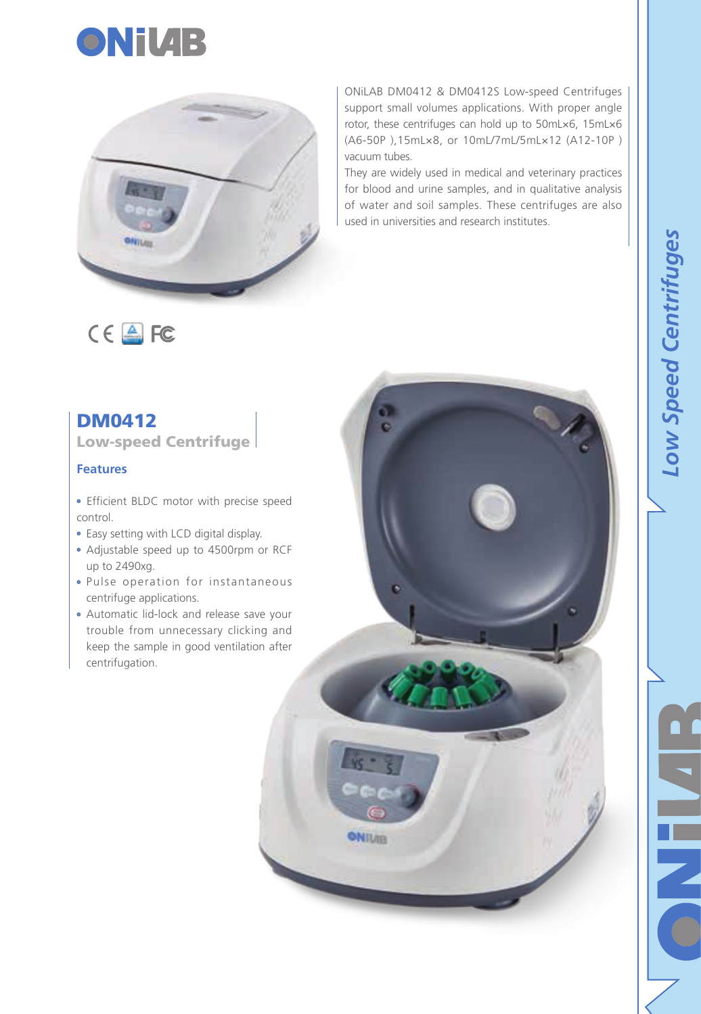



ONiLAB DM0412 & DM0412S Low-speed Centrifuges support small volumes applications. With proper angle rotor, these centrifuges can hold up to 50mL×6, 15mL×6 (A6-50P ),15mL×8, or 10mL/7mL/5mL×12 (A12-10P ) vacuum tubes.

They are widely used in medical and veterinary practices for blood and urine samples, and in qualitative analysis of water and soil samples. These centrifuges are also used in universities and research institutes.

# $C \in \triangle$  FC

# DM0412

Low-speed Centrifuge

### **Features**

- Efficient BLDC motor with precise speed control.
- Easy setting with LCD digital display.
- Adjustable speed up to 4500rpm or RCF up to 2490xg.
- Pulse operation for instantaneous centrifuge applications.
- Automatic lid-lock and release save your trouble from unnecessary clicking and keep the sample in good ventilation after centrifugation.

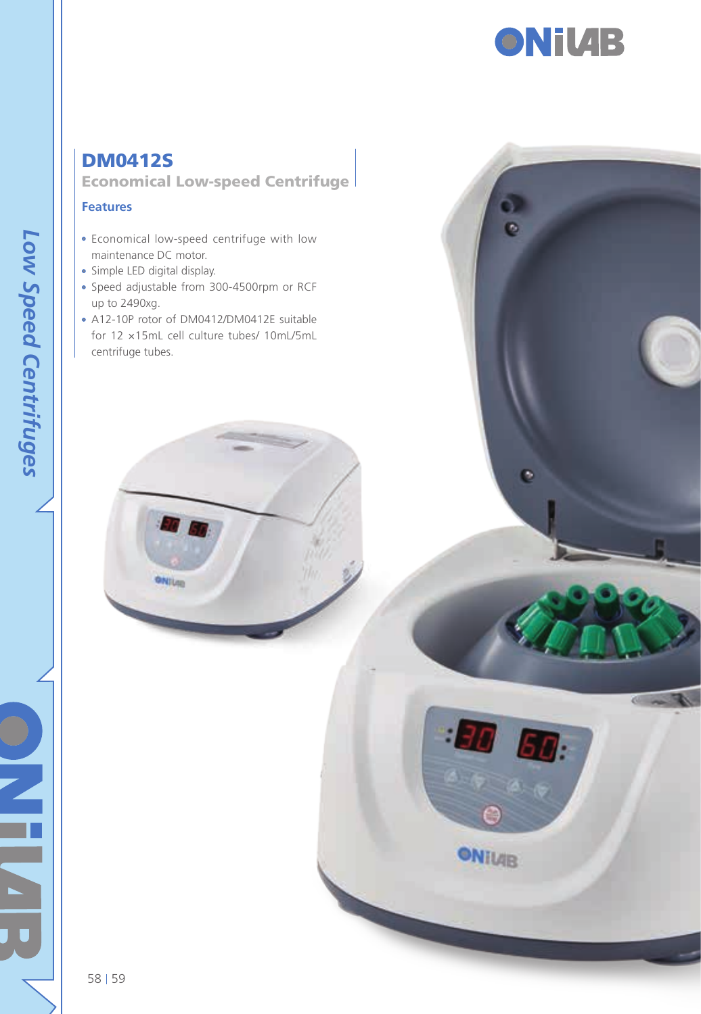

ø

Ö

 $\mathbf{H}$   $\mathbf{H}$ :

**ONTLIB** 

# DM0412S Economical Low-speed Centrifuge

#### **Features**

- Economical low-speed centrifuge with low maintenance DC motor.
- Simple LED digital display.
- Speed adjustable from 300-4500rpm or RCF up to 2490xg.
- A12-10P rotor of DM0412/DM0412E suitable for 12 ×15mL cell culture tubes/ 10mL/5mL centrifuge tubes.

ONIUM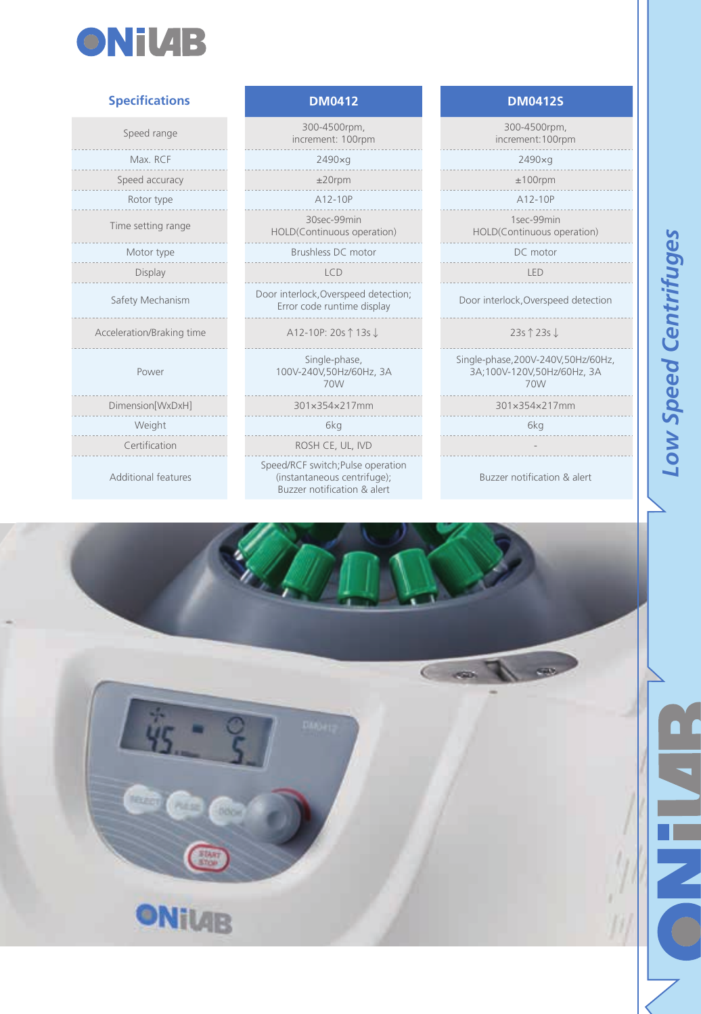

#### **Specifications**

Acceleration/Braking time

. . . . . . . . . . . . . . . . . . .

Power

Additional features

Speed range 300-4500rpm, increment: 100rpm Max. RCF 2490×g 2490×g Speed accuracy  $\pm 20$ rpm  $\pm 100$ rpm experimental control and the control of the A12-10P A12-10P A12-10P A12-10P Time setting range 30sec-99min HOLD(Continuous operation)

Motor type **Brushless DC** motor DC motor DC motor

Safety Mechanism Door interlock,Overspeed detection; Error code runtime display Door interlock,Overspeed detection

↑13s

Single-phase, 100V-240V,50Hz/60Hz, 3A 70W

Certification **ROSH CE, UL, IVD** Speed/RCF switch;Pulse operation (instantaneous centrifuge); Buzzer notification & alert

**DM0412 DM0412S**

300-4500rpm, increment:100rpm 1sec-99min HOLD(Continuous operation)

Display LCD LED

↓ 23s ↑23s ↓

> Single-phase,200V-240V,50Hz/60Hz, 3A;100V-120V,50Hz/60Hz, 3A 70W

Dimension[WxDxH] 301×354×217mm 301×354×217mm

Weight 6kg 6kg

Buzzer notification & alert

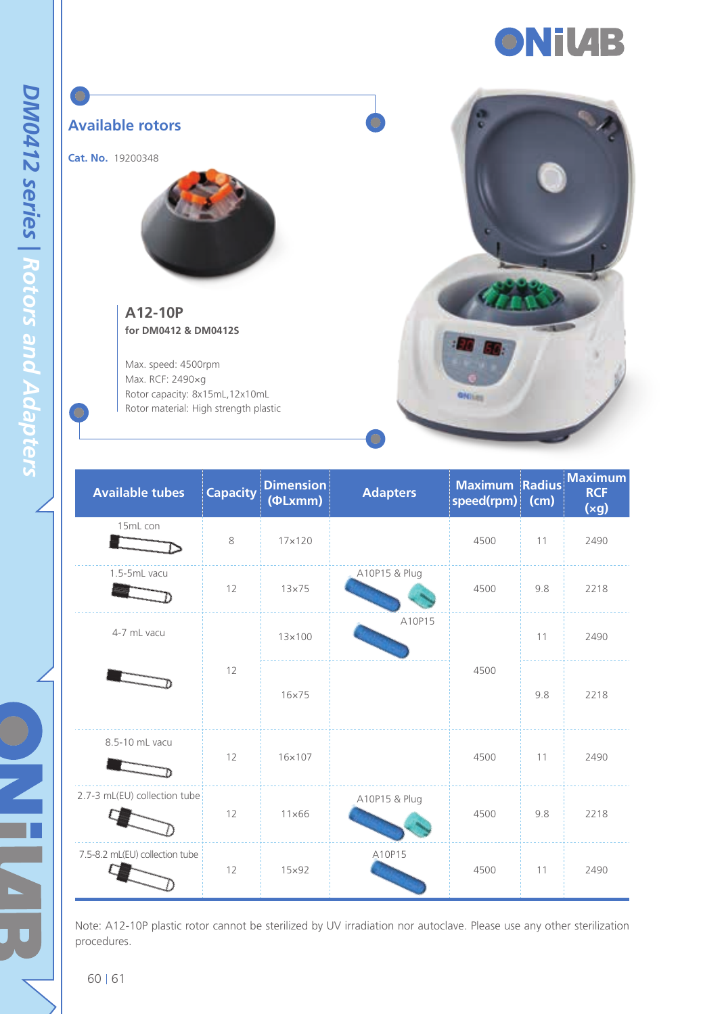



| <b>Available tubes</b>         | <b>Capacity</b> | <b>Dimension</b><br>$(\Phi Lxmm)$ | <b>Adapters</b> | <b>Maximum Radius</b><br>speed(rpm) | (cm) | <b>Maximum</b><br><b>RCF</b><br>(xg) |
|--------------------------------|-----------------|-----------------------------------|-----------------|-------------------------------------|------|--------------------------------------|
| 15mL con                       | 8               | $17\times120$                     |                 | 4500                                | 11   | 2490                                 |
| 1.5-5mL vacu                   | 12              | $13\times 75$                     | A10P15 & Plug   | 4500                                | 9.8  | 2218                                 |
| 4-7 mL vacu                    | 12              | $13\times100$                     | A10P15          |                                     | 11   | 2490                                 |
|                                |                 | $16\times 75$                     |                 | 4500                                | 9.8  | 2218                                 |
| 8.5-10 mL vacu                 | 12              | 16×107                            |                 | 4500                                | 11   | 2490                                 |
| 2.7-3 mL(EU) collection tube   | 12              | $11\times 66$                     | A10P15 & Plug   | 4500                                | 9.8  | 2218                                 |
| 7.5-8.2 mL(EU) collection tube | 12              | $15\times92$                      | A10P15          | 4500                                | 11   | 2490                                 |

Note: A12-10P plastic rotor cannot be sterilized by UV irradiation nor autoclave. Please use any other sterilization procedures.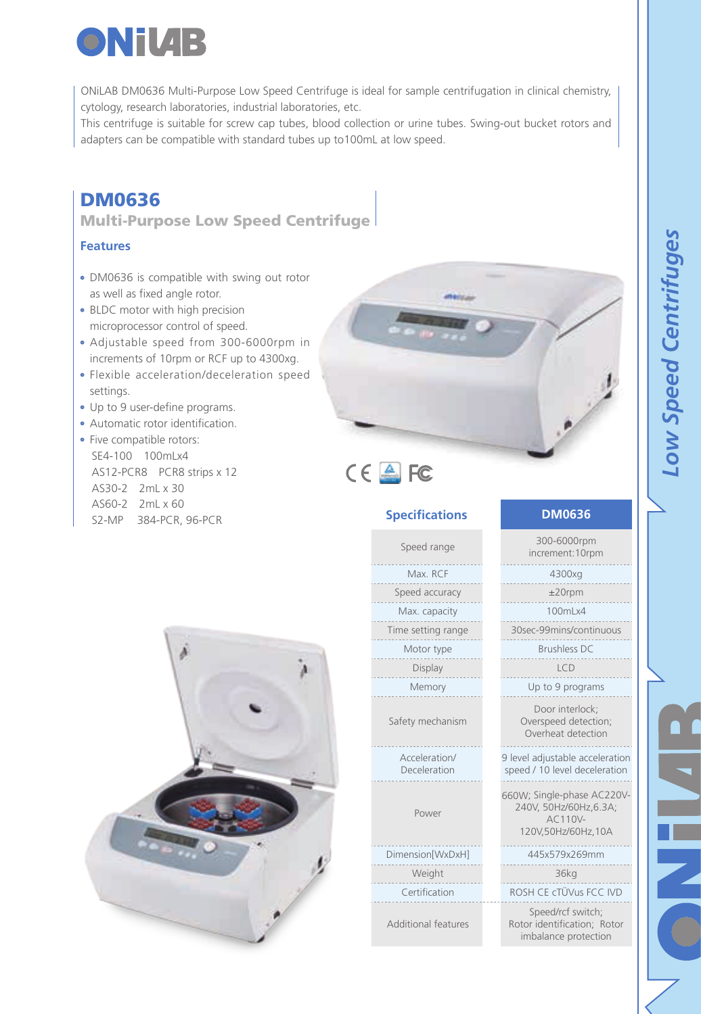

ONiLAB DM0636 Multi-Purpose Low Speed Centrifuge is ideal for sample centrifugation in clinical chemistry, cytology, research laboratories, industrial laboratories, etc.

This centrifuge is suitable for screw cap tubes, blood collection or urine tubes. Swing-out bucket rotors and adapters can be compatible with standard tubes up to100mL at low speed.

# DM0636

Multi-Purpose Low Speed Centrifuge

#### **Features**

- DM0636 is compatible with swing out rotor as well as fixed angle rotor.
- BLDC motor with high precision microprocessor control of speed.
- Adjustable speed from 300-6000rpm in increments of 10rpm or RCF up to 4300xg.
- Flexible acceleration/deceleration speed settings.
- Up to 9 user-define programs.
- Automatic rotor identification.
- Five compatible rotors: SE4-100 100mLx4 AS12-PCR8 PCR8 strips x 12 AS30-2 2mL x 30 AS60-2 2mL x 60 S2-MP 384-PCR, 96-PCR<br>S2-MP 384-PCR, 96-PCR



| Speed range                   | 300-6000rpm<br>increment: 10rpm                                                      |  |  |  |  |
|-------------------------------|--------------------------------------------------------------------------------------|--|--|--|--|
| Max. RCF                      | 4300xg                                                                               |  |  |  |  |
| Speed accuracy                | $±20$ rpm                                                                            |  |  |  |  |
| Max. capacity                 | 100ml x4                                                                             |  |  |  |  |
| Time setting range            | 30sec-99mins/continuous                                                              |  |  |  |  |
| Motor type                    | Brushless DC                                                                         |  |  |  |  |
| Display                       | ICD                                                                                  |  |  |  |  |
| Memory                        | Up to 9 programs                                                                     |  |  |  |  |
| Safety mechanism              | Door interlock:<br>Overspeed detection;<br>Overheat detection                        |  |  |  |  |
| Acceleration/<br>Deceleration | 9 level adjustable acceleration<br>speed / 10 level deceleration                     |  |  |  |  |
| Power                         | 660W; Single-phase AC220V-<br>240V. 50Hz/60Hz.6.3A:<br>AC110V-<br>120V,50Hz/60Hz,10A |  |  |  |  |
| Dimension[WxDxH]              | 445x579x269mm                                                                        |  |  |  |  |
| Weight                        | 36kg                                                                                 |  |  |  |  |
| Certification                 | ROSH CE cTÜVus ECC IVD                                                               |  |  |  |  |
| Additional features           | Speed/rcf switch;<br>Rotor identification; Rotor<br>imbalance protection             |  |  |  |  |

**Specifications**

 $C \in \mathbb{A}$  FC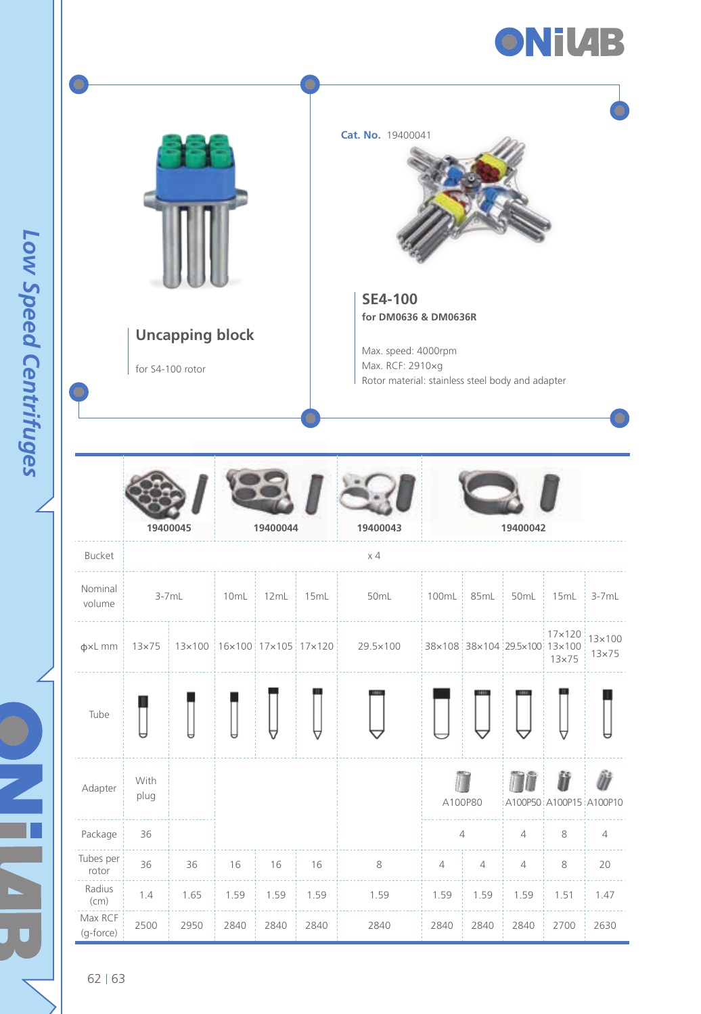



Low Speed Centrifuges *Low Speed Centrifuges*

 $62 | 63$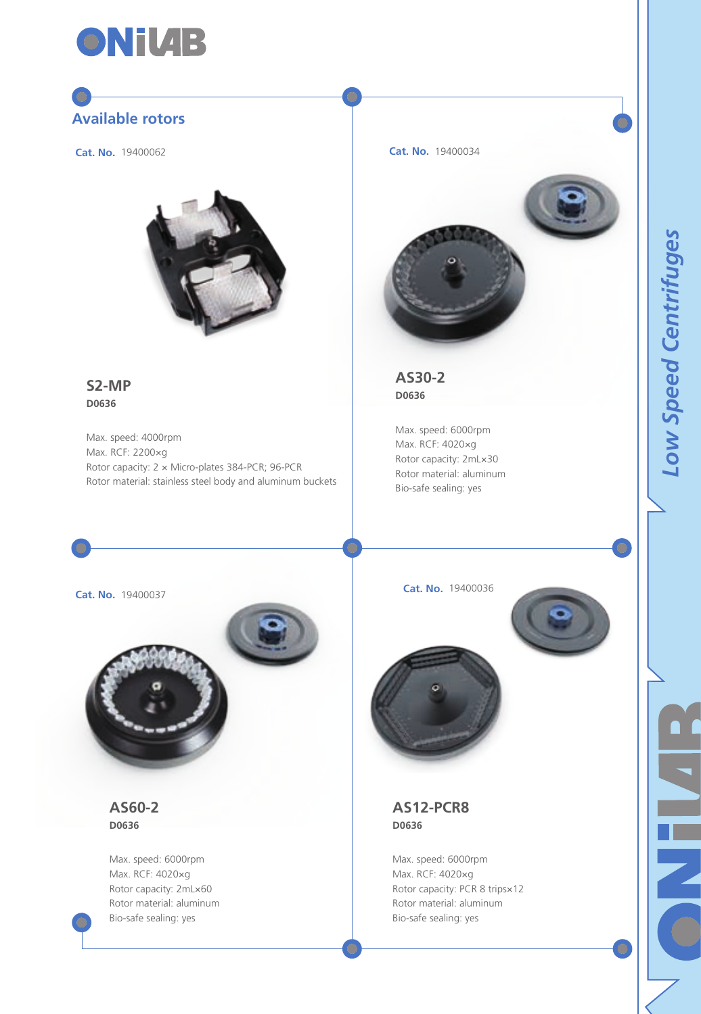

# **Available rotors**

**Cat. No.** 19400062



**S2-MP D0636**

Max. speed: 4000rpm Max. RCF: 2200×g Rotor capacity: 2 × Micro-plates 384-PCR; 96-PCR Rotor material: stainless steel body and aluminum buckets **Cat. No.** 19400034



**AS30-2 D0636**

Max. speed: 6000rpm Max. RCF: 4020×g Rotor capacity: 2mL×30 Rotor material: aluminum Bio-safe sealing: yes

**Cat. No.** 19400037



**AS60-2 D0636**

Max. speed: 6000rpm Max. RCF: 4020×g Rotor capacity: 2mL×60 Rotor material: aluminum Bio-safe sealing: yes

**Cat. No.** 19400036





**AS12-PCR8 D0636**

Max. speed: 6000rpm Max. RCF: 4020×g Rotor capacity: PCR 8 trips×12 Rotor material: aluminum Bio-safe sealing: yes